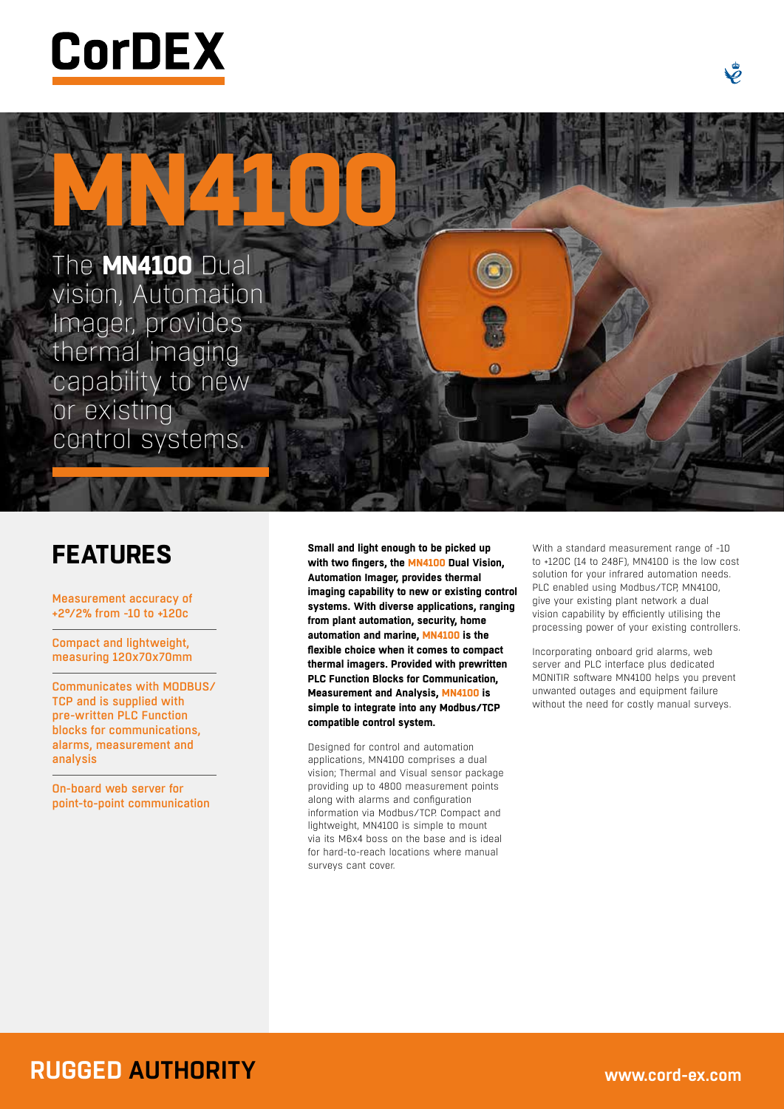

**MN4100** The **MN4100** Dual vision, Automation Imager, provides thermal imaging capability to new or existing control systems.

## **FEATURES**

Measurement accuracy of +2°/2% from -10 to +120c

Compact and lightweight, measuring 120x70x70mm

Communicates with MODBUS/ TCP and is supplied with pre-written PLC Function blocks for communications, alarms, measurement and analysis

On-board web server for point-to-point communication

**Small and light enough to be picked up with two fingers, the MN4100 Dual Vision, Automation Imager, provides thermal imaging capability to new or existing control systems. With diverse applications, ranging from plant automation, security, home automation and marine, MN4100 is the flexible choice when it comes to compact thermal imagers. Provided with prewritten PLC Function Blocks for Communication, Measurement and Analysis, MN4100 is simple to integrate into any Modbus/TCP compatible control system.**

Designed for control and automation applications, MN4100 comprises a dual vision; Thermal and Visual sensor package providing up to 4800 measurement points along with alarms and configuration information via Modbus/TCP. Compact and lightweight, MN4100 is simple to mount via its M6x4 boss on the base and is ideal for hard-to-reach locations where manual surveys cant cover.

With a standard measurement range of -10 to +120C (14 to 248F), MN4100 is the low cost solution for your infrared automation needs. PLC enabled using Modbus/TCP, MN4100, give your existing plant network a dual vision capability by efficiently utilising the processing power of your existing controllers.

Incorporating onboard grid alarms, web server and PLC interface plus dedicated MONITIR software MN4100 helps you prevent unwanted outages and equipment failure without the need for costly manual surveys.